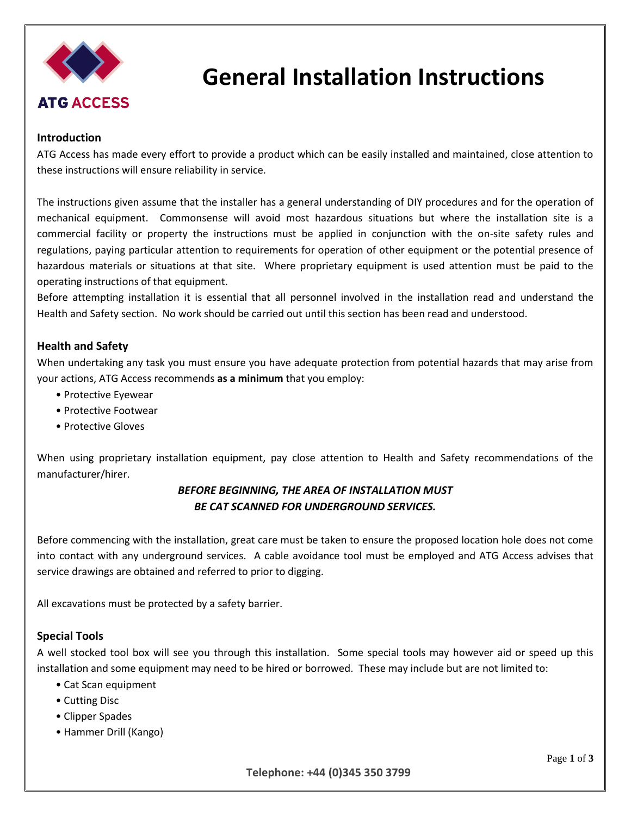

# **General Installation Instructions**

#### **Introduction**

ATG Access has made every effort to provide a product which can be easily installed and maintained, close attention to these instructions will ensure reliability in service.

The instructions given assume that the installer has a general understanding of DIY procedures and for the operation of mechanical equipment. Commonsense will avoid most hazardous situations but where the installation site is a commercial facility or property the instructions must be applied in conjunction with the on-site safety rules and regulations, paying particular attention to requirements for operation of other equipment or the potential presence of hazardous materials or situations at that site. Where proprietary equipment is used attention must be paid to the operating instructions of that equipment.

Before attempting installation it is essential that all personnel involved in the installation read and understand the Health and Safety section. No work should be carried out until this section has been read and understood.

#### **Health and Safety**

When undertaking any task you must ensure you have adequate protection from potential hazards that may arise from your actions, ATG Access recommends **as a minimum** that you employ:

- Protective Eyewear
- Protective Footwear
- Protective Gloves

When using proprietary installation equipment, pay close attention to Health and Safety recommendations of the manufacturer/hirer.

### *BEFORE BEGINNING, THE AREA OF INSTALLATION MUST BE CAT SCANNED FOR UNDERGROUND SERVICES.*

Before commencing with the installation, great care must be taken to ensure the proposed location hole does not come into contact with any underground services. A cable avoidance tool must be employed and ATG Access advises that service drawings are obtained and referred to prior to digging.

All excavations must be protected by a safety barrier.

#### **Special Tools**

A well stocked tool box will see you through this installation. Some special tools may however aid or speed up this installation and some equipment may need to be hired or borrowed. These may include but are not limited to:

- Cat Scan equipment
- Cutting Disc
- Clipper Spades
- Hammer Drill (Kango)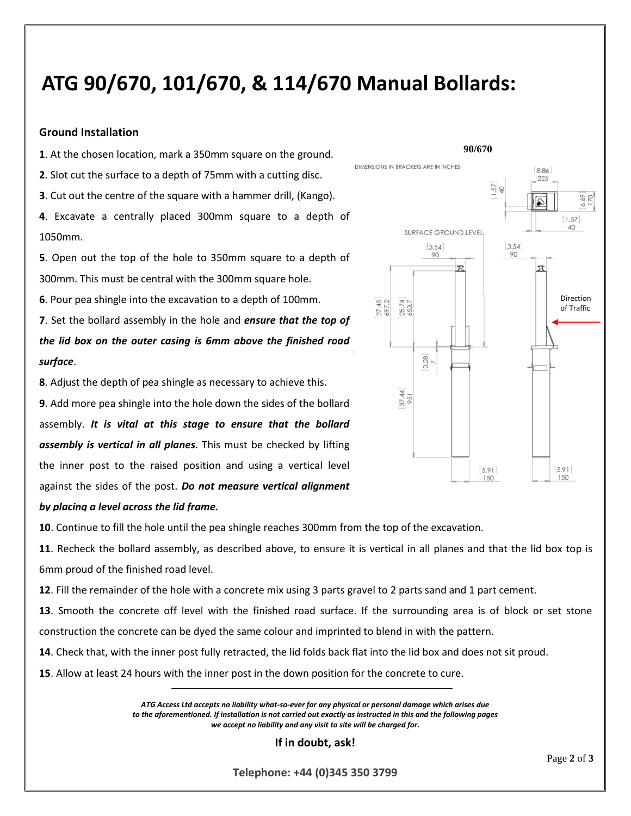## **ATG 90/670, 101/670, & 114/670 Manual Bollards:**

#### **Ground Installation**

**1**. At the chosen location, mark a 350mm square on the ground.

**2**. Slot cut the surface to a depth of 75mm with a cutting disc.

**3**. Cut out the centre of the square with a hammer drill, (Kango).

**4**. Excavate a centrally placed 300mm square to a depth of 1050mm.

**5**. Open out the top of the hole to 350mm square to a depth of 300mm. This must be central with the 300mm square hole.

**6**. Pour pea shingle into the excavation to a depth of 100mm.

**7**. Set the bollard assembly in the hole and *ensure that the top of the lid box on the outer casing is 6mm above the finished road surface*.

**8**. Adjust the depth of pea shingle as necessary to achieve this.

**9**. Add more pea shingle into the hole down the sides of the bollard assembly. *It is vital at this stage to ensure that the bollard assembly is vertical in all planes*. This must be checked by lifting the inner post to the raised position and using a vertical level against the sides of the post. *Do not measure vertical alignment* 



## *by placing a level across the lid frame.*

**10**. Continue to fill the hole until the pea shingle reaches 300mm from the top of the excavation.

**11**. Recheck the bollard assembly, as described above, to ensure it is vertical in all planes and that the lid box top is 6mm proud of the finished road level.

**12**. Fill the remainder of the hole with a concrete mix using 3 parts gravel to 2 parts sand and 1 part cement.

**13**. Smooth the concrete off level with the finished road surface. If the surrounding area is of block or set stone construction the concrete can be dyed the same colour and imprinted to blend in with the pattern.

**14**. Check that, with the inner post fully retracted, the lid folds back flat into the lid box and does not sit proud.

**15**. Allow at least 24 hours with the inner post in the down position for the concrete to cure.

*ATG Access Ltd accepts no liability what-so-ever for any physical or personal damage which arises due to the aforementioned. If installation is not carried out exactly as instructed in this and the following pages we accept no liability and any visit to site will be charged for.* 

**If in doubt, ask!** 

**Telephone: +44 (0)345 350 3799**

Page **2** of **3**